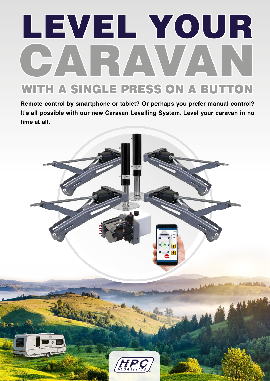# LEVEL YOUR CARAVAN WITH A SINGLE PRESS ON A BUTTON

**Remote control by smartphone or tablet? Or perhaps you prefer manual control? It's all possible with our new Caravan Levelling System. Level your caravan in no time at all.**